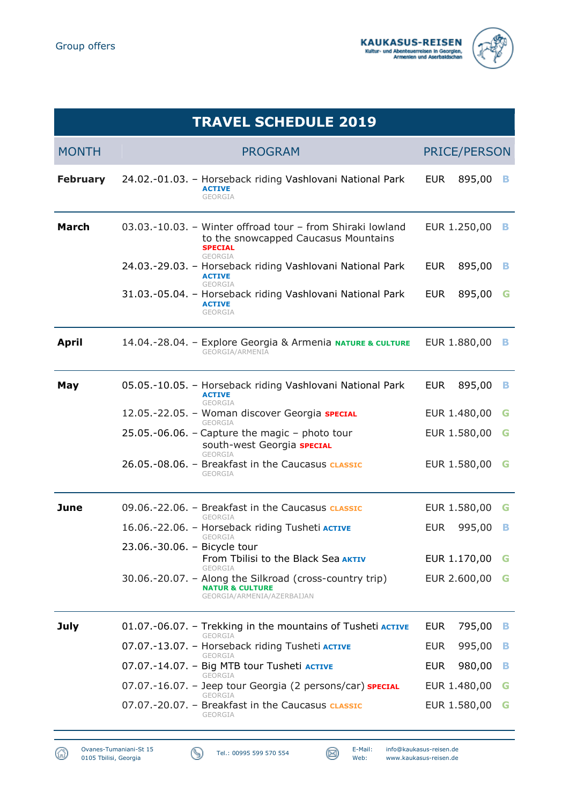



| <b>TRAVEL SCHEDULE 2019</b> |                                                                                                                                        |                           |  |  |
|-----------------------------|----------------------------------------------------------------------------------------------------------------------------------------|---------------------------|--|--|
| <b>MONTH</b>                | <b>PROGRAM</b>                                                                                                                         | <b>PRICE/PERSON</b>       |  |  |
| <b>February</b>             | 24.02.-01.03. - Horseback riding Vashlovani National Park<br><b>ACTIVE</b><br><b>GEORGIA</b>                                           | <b>EUR</b><br>895,00      |  |  |
| <b>March</b>                | 03.03.-10.03. - Winter offroad tour - from Shiraki lowland<br>to the snowcapped Caucasus Mountains<br><b>SPECIAL</b><br><b>GEORGIA</b> | EUR 1.250,00<br>в         |  |  |
|                             | 24.03.-29.03. - Horseback riding Vashlovani National Park<br><b>ACTIVE</b><br>GEORGIA                                                  | <b>EUR</b><br>895,00<br>в |  |  |
|                             | 31.03.-05.04. - Horseback riding Vashlovani National Park<br><b>ACTIVE</b><br><b>GEORGIA</b>                                           | 895,00<br><b>EUR</b><br>G |  |  |
| <b>April</b>                | 14.04.-28.04. - Explore Georgia & Armenia NATURE & CULTURE<br>GEORGIA/ARMENIA                                                          | EUR 1.880,00<br>в         |  |  |
| May                         | 05.05.-10.05. - Horseback riding Vashlovani National Park<br><b>ACTIVE</b><br><b>GEORGIA</b>                                           | <b>EUR</b><br>895,00<br>в |  |  |
|                             | 12.05.-22.05. - Woman discover Georgia SPECIAL<br><b>GEORGIA</b>                                                                       | EUR 1.480,00<br>G         |  |  |
|                             | $25.05.-06.06.$ - Capture the magic - photo tour<br>south-west Georgia SPECIAL<br>GEORGIA                                              | EUR 1.580,00<br>G         |  |  |
|                             | 26.05.-08.06. - Breakfast in the Caucasus <b>CLASSIC</b><br><b>GEORGIA</b>                                                             | EUR 1.580,00<br>G         |  |  |
| June                        | 09.06.-22.06. - Breakfast in the Caucasus <b>CLASSIC</b><br>GEORGIA                                                                    | EUR 1.580,00<br>G         |  |  |
|                             | 16.06.-22.06. - Horseback riding Tusheti ACTIVE                                                                                        | 995,00<br><b>EUR</b><br>в |  |  |
|                             | <b>GEORGIA</b><br>23.06.-30.06. - Bicycle tour                                                                                         |                           |  |  |
|                             | From Tbilisi to the Black Sea AKTIV<br>GEORGIA                                                                                         | EUR 1.170,00<br>G         |  |  |
|                             | 30.06.-20.07. - Along the Silkroad (cross-country trip)<br><b>NATUR &amp; CULTURE</b><br>GEORGIA/ARMENIA/AZERBAIJAN                    | EUR 2.600,00<br>G         |  |  |
| <b>July</b>                 | 01.07.-06.07. – Trekking in the mountains of Tusheti <b>ACTIVE</b><br>GEORGIA                                                          | <b>EUR</b><br>795,00<br>в |  |  |
|                             | 07.07.-13.07. - Horseback riding Tusheti ACTIVE<br>GEORGIA                                                                             | <b>EUR</b><br>995,00<br>в |  |  |
|                             | 07.07.-14.07. - Big MTB tour Tusheti ACTIVE<br>GEORGIA                                                                                 | 980,00<br><b>EUR</b><br>в |  |  |
|                             | 07.07.-16.07. - Jeep tour Georgia (2 persons/car) SPECIAL<br>GEORGIA                                                                   | EUR 1.480,00<br>G         |  |  |
|                             | 07.07.-20.07. - Breakfast in the Caucasus <b>CLASSIC</b><br>GEORGIA                                                                    | EUR 1.580,00<br>G         |  |  |

⋒



Tel.: 00995 599 570 554 E-Mail: info@kaukasus-reisen.de Web: www.kaukasus-reisen.de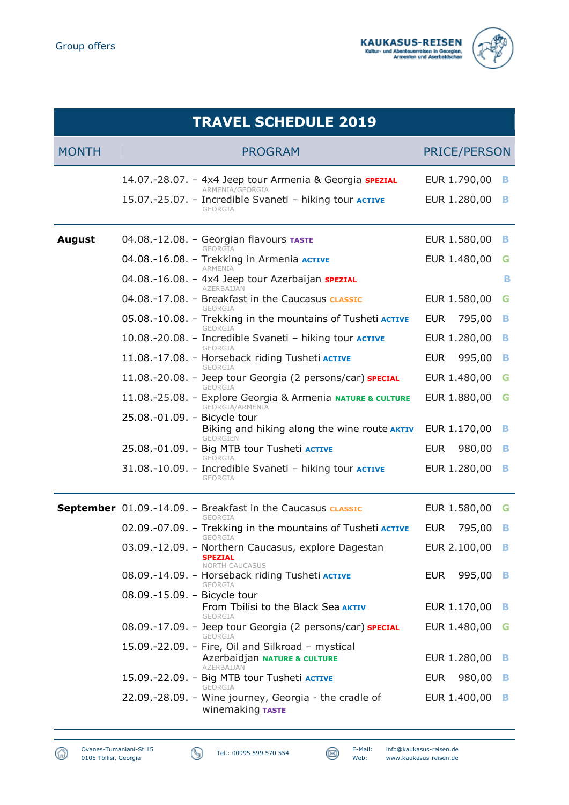



| <b>TRAVEL SCHEDULE 2019</b> |                                                                                                                                                                                                                                                                                                                                                                       |                                                                                      |                       |  |  |
|-----------------------------|-----------------------------------------------------------------------------------------------------------------------------------------------------------------------------------------------------------------------------------------------------------------------------------------------------------------------------------------------------------------------|--------------------------------------------------------------------------------------|-----------------------|--|--|
| <b>MONTH</b>                | <b>PROGRAM</b>                                                                                                                                                                                                                                                                                                                                                        | <b>PRICE/PERSON</b>                                                                  |                       |  |  |
|                             | 14.07.-28.07. - 4x4 Jeep tour Armenia & Georgia <b>SPEZIAL</b><br>ARMENIA/GEORGIA<br>15.07.-25.07. - Incredible Svaneti - hiking tour ACTIVE<br>GEORGIA                                                                                                                                                                                                               | EUR 1.790,00<br>EUR 1.280,00                                                         | в<br>в                |  |  |
| <b>August</b>               | 04.08.-12.08. - Georgian flavours TASTE<br>GEORGIA<br>04.08.-16.08. - Trekking in Armenia ACTIVE<br>ARMENIA<br>04.08.-16.08. - 4x4 Jeep tour Azerbaijan <b>SPEZIAL</b><br>AZERBAIJAN                                                                                                                                                                                  | EUR 1.580,00<br>EUR 1.480,00                                                         | в<br>G<br>в           |  |  |
|                             | 04.08.-17.08. - Breakfast in the Caucasus <b>CLASSIC</b><br>GEORGIA<br>05.08.-10.08. - Trekking in the mountains of Tusheti ACTIVE<br><b>GEORGIA</b><br>10.08.-20.08. - Incredible Svaneti - hiking tour ACTIVE<br>GEORGIA                                                                                                                                            | EUR 1.580,00<br><b>EUR</b><br>795,00<br>EUR 1.280,00                                 | G<br>в<br>в           |  |  |
|                             | 11.08.-17.08. - Horseback riding Tusheti ACTIVE<br>GEORGIA<br>11.08.-20.08. - Jeep tour Georgia (2 persons/car) SPECIAL<br>GEORGIA<br>11.08.-25.08. - Explore Georgia & Armenia NATURE & CULTURE<br>GEORGIA/ARMENIA                                                                                                                                                   | <b>EUR</b><br>995,00<br>EUR 1.480,00<br>EUR 1.880,00                                 | в<br>G<br>G           |  |  |
|                             | 25.08.-01.09. - Bicycle tour<br>Biking and hiking along the wine route AKTIV<br>GFORGIEN<br>25.08.-01.09. - Big MTB tour Tusheti ACTIVE<br>GEORGIA<br>31.08.-10.09. - Incredible Svaneti - hiking tour <b>ACTIVE</b><br><b>GEORGIA</b>                                                                                                                                | EUR 1.170,00<br><b>EUR</b><br>980,00<br>EUR 1.280,00                                 | в<br>в<br>в           |  |  |
|                             | <b>September</b> 01.09.-14.09. - Breakfast in the Caucasus classic<br>GEORGIA<br>02.09.-07.09. – Trekking in the mountains of Tusheti <b>ACTIVE</b><br>GEORGIA<br>03.09.-12.09. - Northern Caucasus, explore Dagestan<br><b>SPEZIAL</b><br><b>NORTH CAUCASUS</b><br>08.09.-14.09. - Horseback riding Tusheti ACTIVE<br><b>GEORGIA</b><br>08.09.-15.09. - Bicycle tour | EUR 1.580,00<br>795,00<br><b>EUR</b><br>EUR 2.100,00<br>EUR<br>995,00                | G<br>в<br>в<br>В      |  |  |
|                             | From Tbilisi to the Black Sea AKTIV<br>GEORGIA<br>08.09.-17.09. - Jeep tour Georgia (2 persons/car) SPECIAL<br>GEORGIA<br>15.09.-22.09. - Fire, Oil and Silkroad - mystical<br>Azerbaidjan NATURE & CULTURE<br>AZERBAIJAN<br>15.09.-22.09. - Big MTB tour Tusheti ACTIVE<br><b>GEORGIA</b><br>22.09.-28.09. - Wine journey, Georgia - the cradle of                   | EUR 1.170,00<br>EUR 1.480,00<br>EUR 1.280,00<br>980,00<br><b>EUR</b><br>EUR 1.400,00 | в<br>G<br>в<br>B<br>в |  |  |

## ⋒ Ovanes-Tumaniani-St 15 0105 Tbilisi, Georgia